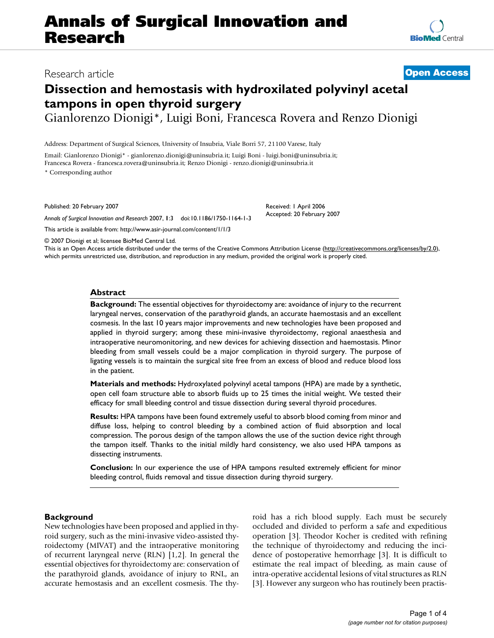# Research article **[Open Access](http://www.biomedcentral.com/info/about/charter/)**

# **Dissection and hemostasis with hydroxilated polyvinyl acetal tampons in open thyroid surgery**

Gianlorenzo Dionigi\*, Luigi Boni, Francesca Rovera and Renzo Dionigi

Address: Department of Surgical Sciences, University of Insubria, Viale Borri 57, 21100 Varese, Italy

Email: Gianlorenzo Dionigi\* - gianlorenzo.dionigi@uninsubria.it; Luigi Boni - luigi.boni@uninsubria.it; Francesca Rovera - francesca.rovera@uninsubria.it; Renzo Dionigi - renzo.dionigi@uninsubria.it \* Corresponding author

Published: 20 February 2007

*Annals of Surgical Innovation and Research* 2007, **1**:3 doi:10.1186/1750-1164-1-3

[This article is available from: http://www.asir-journal.com/content/1/1/3](http://www.asir-journal.com/content/1/1/3)

Received: 1 April 2006 Accepted: 20 February 2007

© 2007 Dionigi et al; licensee BioMed Central Ltd.

This is an Open Access article distributed under the terms of the Creative Commons Attribution License [\(http://creativecommons.org/licenses/by/2.0\)](http://creativecommons.org/licenses/by/2.0), which permits unrestricted use, distribution, and reproduction in any medium, provided the original work is properly cited.

#### **Abstract**

**Background:** The essential objectives for thyroidectomy are: avoidance of injury to the recurrent laryngeal nerves, conservation of the parathyroid glands, an accurate haemostasis and an excellent cosmesis. In the last 10 years major improvements and new technologies have been proposed and applied in thyroid surgery; among these mini-invasive thyroidectomy, regional anaesthesia and intraoperative neuromonitoring, and new devices for achieving dissection and haemostasis. Minor bleeding from small vessels could be a major complication in thyroid surgery. The purpose of ligating vessels is to maintain the surgical site free from an excess of blood and reduce blood loss in the patient.

**Materials and methods:** Hydroxylated polyvinyl acetal tampons (HPA) are made by a synthetic, open cell foam structure able to absorb fluids up to 25 times the initial weight. We tested their efficacy for small bleeding control and tissue dissection during several thyroid procedures.

**Results:** HPA tampons have been found extremely useful to absorb blood coming from minor and diffuse loss, helping to control bleeding by a combined action of fluid absorption and local compression. The porous design of the tampon allows the use of the suction device right through the tampon itself. Thanks to the initial mildly hard consistency, we also used HPA tampons as dissecting instruments.

**Conclusion:** In our experience the use of HPA tampons resulted extremely efficient for minor bleeding control, fluids removal and tissue dissection during thyroid surgery.

### **Background**

New technologies have been proposed and applied in thyroid surgery, such as the mini-invasive video-assisted thyroidectomy (MIVAT) and the intraoperative monitoring of recurrent laryngeal nerve (RLN) [1,2]. In general the essential objectives for thyroidectomy are: conservation of the parathyroid glands, avoidance of injury to RNL, an accurate hemostasis and an excellent cosmesis. The thyroid has a rich blood supply. Each must be securely occluded and divided to perform a safe and expeditious operation [3]. Theodor Kocher is credited with refining the technique of thyroidectomy and reducing the incidence of postoperative hemorrhage [3]. It is difficult to estimate the real impact of bleeding, as main cause of intra-operative accidental lesions of vital structures as RLN [3]. However any surgeon who has routinely been practis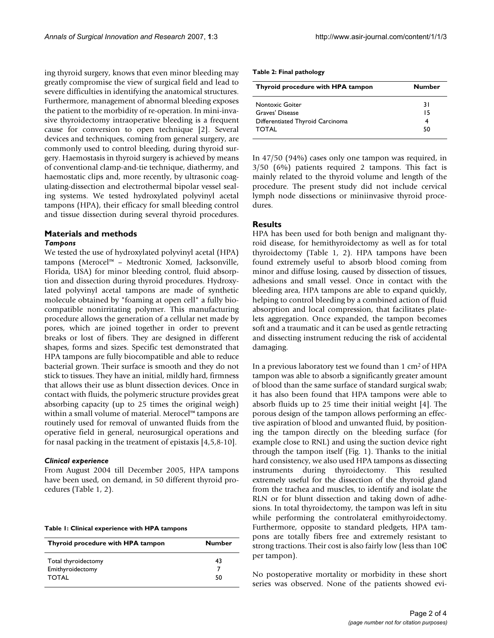ing thyroid surgery, knows that even minor bleeding may greatly compromise the view of surgical field and lead to severe difficulties in identifying the anatomical structures. Furthermore, management of abnormal bleeding exposes the patient to the morbidity of re-operation. In mini-invasive thyroidectomy intraoperative bleeding is a frequent cause for conversion to open technique [2]. Several devices and techniques, coming from general surgery, are commonly used to control bleeding, during thyroid surgery. Haemostasis in thyroid surgery is achieved by means of conventional clamp-and-tie technique, diathermy, and haemostatic clips and, more recently, by ultrasonic coagulating-dissection and electrothermal bipolar vessel sealing systems. We tested hydroxylated polyvinyl acetal tampons (HPA), their efficacy for small bleeding control and tissue dissection during several thyroid procedures.

#### **Materials and methods** *Tampons*

We tested the use of hydroxylated polyvinyl acetal (HPA) tampons (Merocel™ – Medtronic Xomed, Jacksonville, Florida, USA) for minor bleeding control, fluid absorption and dissection during thyroid procedures. Hydroxylated polyvinyl acetal tampons are made of synthetic molecule obtained by "foaming at open cell" a fully biocompatible nonirritating polymer. This manufacturing procedure allows the generation of a cellular net made by pores, which are joined together in order to prevent breaks or lost of fibers. They are designed in different shapes, forms and sizes. Specific test demonstrated that HPA tampons are fully biocompatible and able to reduce bacterial grown. Their surface is smooth and they do not stick to tissues. They have an initial, mildly hard, firmness that allows their use as blunt dissection devices. Once in contact with fluids, the polymeric structure provides great absorbing capacity (up to 25 times the original weigh) within a small volume of material. Merocel™ tampons are routinely used for removal of unwanted fluids from the operative field in general, neurosurgical operations and for nasal packing in the treatment of epistaxis [4,5,8-10].

#### *Clinical experience*

From August 2004 till December 2005, HPA tampons have been used, on demand, in 50 different thyroid procedures (Table 1, 2).

|  | Table 1: Clinical experience with HPA tampons |  |
|--|-----------------------------------------------|--|
|--|-----------------------------------------------|--|

| Thyroid procedure with HPA tampon       | Number |
|-----------------------------------------|--------|
| Total thyroidectomy<br>Emithyroidectomy | 43     |
| TOTAI                                   | 50     |

|  |  |  | Table 2: Final pathology |
|--|--|--|--------------------------|
|--|--|--|--------------------------|

| Thyroid procedure with HPA tampon | <b>Number</b> |
|-----------------------------------|---------------|
| Nontoxic Goiter                   | 31            |
| Graves' Disease                   | 15            |
| Differentiated Thyroid Carcinoma  | 4             |
| TOTAL                             | 50            |

In 47/50 (94%) cases only one tampon was required, in 3/50 (6%) patients required 2 tampons. This fact is mainly related to the thyroid volume and length of the procedure. The present study did not include cervical lymph node dissections or miniinvasive thyroid procedures.

### **Results**

HPA has been used for both benign and malignant thyroid disease, for hemithyroidectomy as well as for total thyroidectomy (Table 1, 2). HPA tampons have been found extremely useful to absorb blood coming from minor and diffuse losing, caused by dissection of tissues, adhesions and small vessel. Once in contact with the bleeding area, HPA tampons are able to expand quickly, helping to control bleeding by a combined action of fluid absorption and local compression, that facilitates platelets aggregation. Once expanded, the tampon becomes soft and a traumatic and it can be used as gentle retracting and dissecting instrument reducing the risk of accidental damaging.

In a previous laboratory test we found than 1 cm2 of HPA tampon was able to absorb a significantly greater amount of blood than the same surface of standard surgical swab; it has also been found that HPA tampons were able to absorb fluids up to 25 time their initial weight [4]. The porous design of the tampon allows performing an effective aspiration of blood and unwanted fluid, by positioning the tampon directly on the bleeding surface (for example close to RNL) and using the suction device right through the tampon itself (Fig. 1). Thanks to the initial hard consistency, we also used HPA tampons as dissecting instruments during thyroidectomy. This resulted extremely useful for the dissection of the thyroid gland from the trachea and muscles, to identify and isolate the RLN or for blunt dissection and taking down of adhesions. In total thyroidectomy, the tampon was left in situ while performing the controlateral emithyroidectomy. Furthermore, opposite to standard pledgets, HPA tampons are totally fibers free and extremely resistant to strong tractions. Their cost is also fairly low (less than  $10<sup>°</sup>$ per tampon).

No postoperative mortality or morbidity in these short series was observed. None of the patients showed evi-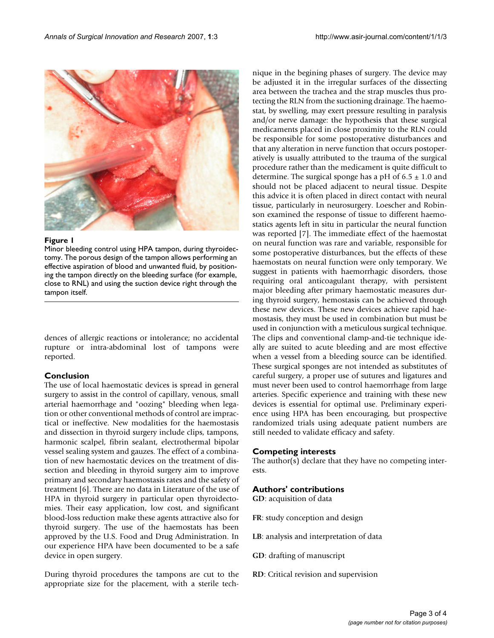

## Figure 1

Minor bleeding control using HPA tampon, during thyroidectomy. The porous design of the tampon allows performing an effective aspiration of blood and unwanted fluid, by positioning the tampon directly on the bleeding surface (for example, close to RNL) and using the suction device right through the tampon itself.

dences of allergic reactions or intolerance; no accidental rupture or intra-abdominal lost of tampons were reported.

# **Conclusion**

The use of local haemostatic devices is spread in general surgery to assist in the control of capillary, venous, small arterial haemorrhage and "oozing" bleeding when legation or other conventional methods of control are impractical or ineffective. New modalities for the haemostasis and dissection in thyroid surgery include clips, tampons, harmonic scalpel, fibrin sealant, electrothermal bipolar vessel sealing system and gauzes. The effect of a combination of new haemostatic devices on the treatment of dissection and bleeding in thyroid surgery aim to improve primary and secondary haemostasis rates and the safety of treatment [6]. There are no data in Literature of the use of HPA in thyroid surgery in particular open thyroidectomies. Their easy application, low cost, and significant blood-loss reduction make these agents attractive also for thyroid surgery. The use of the haemostats has been approved by the U.S. Food and Drug Administration. In our experience HPA have been documented to be a safe device in open surgery.

During thyroid procedures the tampons are cut to the appropriate size for the placement, with a sterile technique in the begining phases of surgery. The device may be adjusted it in the irregular surfaces of the dissecting area between the trachea and the strap muscles thus protecting the RLN from the suctioning drainage. The haemostat, by swelling, may exert pressure resulting in paralysis and/or nerve damage: the hypothesis that these surgical medicaments placed in close proximity to the RLN could be responsible for some postoperative disturbances and that any alteration in nerve function that occurs postoperatively is usually attributed to the trauma of the surgical procedure rather than the medicament is quite difficult to determine. The surgical sponge has a pH of  $6.5 \pm 1.0$  and should not be placed adjacent to neural tissue. Despite this advice it is often placed in direct contact with neural tissue, particularly in neurosurgery. Loescher and Robinson examined the response of tissue to different haemostatics agents left in situ in particular the neural function was reported [7]. The immediate effect of the haemostat on neural function was rare and variable, responsible for some postoperative disturbances, but the effects of these haemostats on neural function were only temporary. We suggest in patients with haemorrhagic disorders, those requiring oral anticoagulant therapy, with persistent major bleeding after primary haemostatic measures during thyroid surgery, hemostasis can be achieved through these new devices. These new devices achieve rapid haemostasis, they must be used in combination but must be used in conjunction with a meticulous surgical technique. The clips and conventional clamp-and-tie technique ideally are suited to acute bleeding and are most effective when a vessel from a bleeding source can be identified. These surgical sponges are not intended as substitutes of careful surgery, a proper use of sutures and ligatures and must never been used to control haemorrhage from large arteries. Specific experience and training with these new devices is essential for optimal use. Preliminary experience using HPA has been encouraging, but prospective randomized trials using adequate patient numbers are still needed to validate efficacy and safety.

# **Competing interests**

The author(s) declare that they have no competing interests.

# **Authors' contributions**

**GD**: acquisition of data

**FR**: study conception and design

**LB**: analysis and interpretation of data

- **GD**: drafting of manuscript
- **RD**: Critical revision and supervision